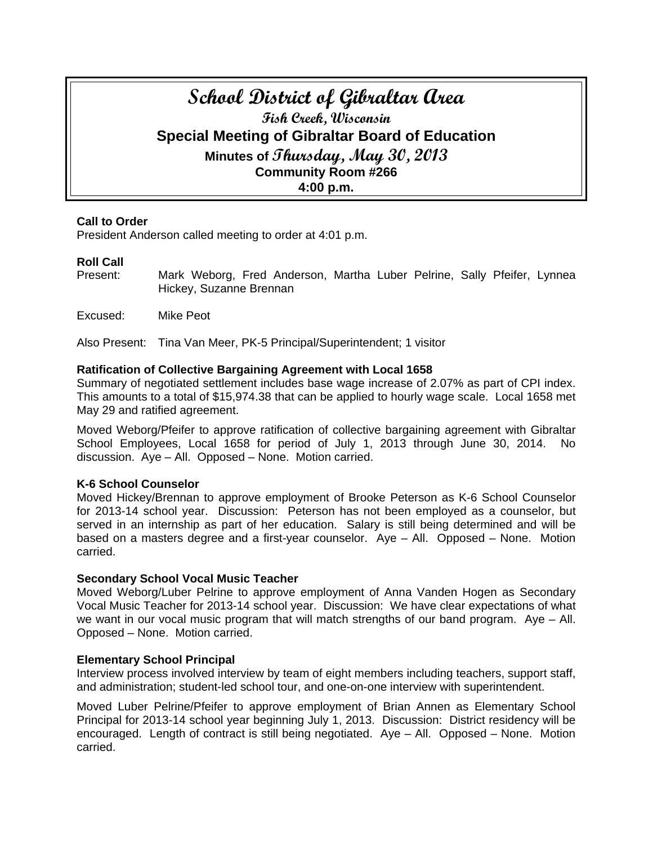# **School District of Gibraltar Area Fish Creek, Wisconsin Special Meeting of Gibraltar Board of Education Minutes of Thursday, May 30, 2013 Community Room #266 4:00 p.m.**

## **Call to Order**

President Anderson called meeting to order at 4:01 p.m.

# **Roll Call**

Present: Mark Weborg, Fred Anderson, Martha Luber Pelrine, Sally Pfeifer, Lynnea Hickey, Suzanne Brennan

Excused: Mike Peot

Also Present: Tina Van Meer, PK-5 Principal/Superintendent; 1 visitor

#### **Ratification of Collective Bargaining Agreement with Local 1658**

Summary of negotiated settlement includes base wage increase of 2.07% as part of CPI index. This amounts to a total of \$15,974.38 that can be applied to hourly wage scale. Local 1658 met May 29 and ratified agreement.

Moved Weborg/Pfeifer to approve ratification of collective bargaining agreement with Gibraltar School Employees, Local 1658 for period of July 1, 2013 through June 30, 2014. No discussion. Aye – All. Opposed – None. Motion carried.

#### **K-6 School Counselor**

Moved Hickey/Brennan to approve employment of Brooke Peterson as K-6 School Counselor for 2013-14 school year. Discussion: Peterson has not been employed as a counselor, but served in an internship as part of her education. Salary is still being determined and will be based on a masters degree and a first-year counselor. Aye – All. Opposed – None. Motion carried.

#### **Secondary School Vocal Music Teacher**

Moved Weborg/Luber Pelrine to approve employment of Anna Vanden Hogen as Secondary Vocal Music Teacher for 2013-14 school year. Discussion: We have clear expectations of what we want in our vocal music program that will match strengths of our band program. Aye – All. Opposed – None. Motion carried.

#### **Elementary School Principal**

Interview process involved interview by team of eight members including teachers, support staff, and administration; student-led school tour, and one-on-one interview with superintendent.

Moved Luber Pelrine/Pfeifer to approve employment of Brian Annen as Elementary School Principal for 2013-14 school year beginning July 1, 2013. Discussion: District residency will be encouraged. Length of contract is still being negotiated. Aye – All. Opposed – None. Motion carried.